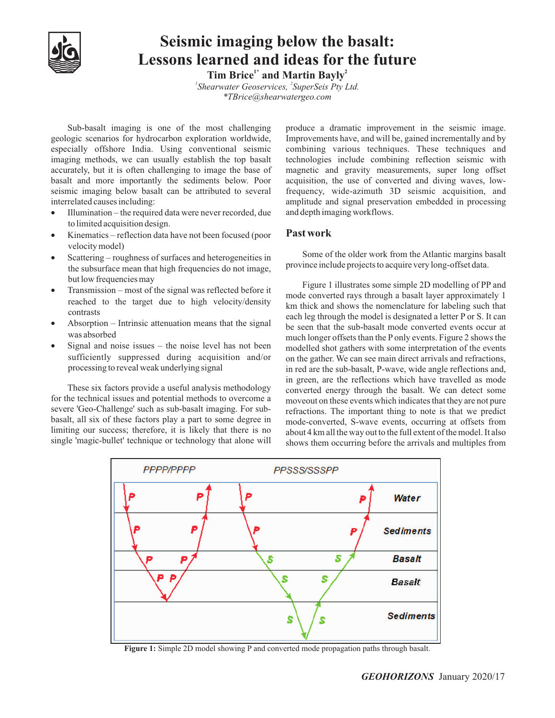

## **Seismic imaging below the basalt: Lessons learned and ideas for the future**

**1.23 1.23 1.23 2.3 2.3 2.3 2.3 2.3 2.3 2.3 2.4 2.4 2.4 2.4 2.4 2.4 2.4 2.4 2.4 2.4 2.4 2.4 2.4 2.4 2.4 2.4 2.4 2.4 2.4 2.4 2.4 2.4 2.4 2.4 2.4 2.4 2** <sup>1</sup> Shearwater Geoservices, <sup>2</sup> SuperSeis Pty Ltd.

*\*TBrice@shearwatergeo.com*

Sub-basalt imaging is one of the most challenging geologic scenarios for hydrocarbon exploration worldwide, especially offshore India. Using conventional seismic imaging methods, we can usually establish the top basalt accurately, but it is often challenging to image the base of basalt and more importantly the sediments below. Poor seismic imaging below basalt can be attributed to several interrelated causes including:

- Illumination the required data were never recorded, due
- to limited acquisition design.<br>
 Kinematics reflection data have not been focused (poor Past work
- Scattering roughness of surfaces and heterogeneities in the subsurface mean that high frequencies do not image,
- Transmission most of the signal was reflected before it reached to the target due to high velocity/density
- Absorption Intrinsic attenuation means that the signal
- sufficiently suppressed during acquisition and/or processing to reveal weak underlying signal

These six factors provide a useful analysis methodology for the technical issues and potential methods to overcome a severe 'Geo-Challenge' such as sub-basalt imaging. For subbasalt, all six of these factors play a part to some degree in limiting our success; therefore, it is likely that there is no single 'magic-bullet' technique or technology that alone will

interrelated causes including:<br>• Illumination – the required data were never recorded, due and depth imaging workflows. produce a dramatic improvement in the seismic image. Improvements have, and will be, gained incrementally and by combining various techniques. These techniques and technologies include combining reflection seismic with magnetic and gravity measurements, super long offset acquisition, the use of converted and diving waves, lowfrequency, wide-azimuth 3D seismic acquisition, and and depth imaging workflows.

## **Past work**

velocity model)<br>
Some of the older work from the Atlantic margins basalt<br>
Some of the older work from the Atlantic margins basalt province include projects to acquire very long-offset data.

but low frequencies may<br>
• Transmission – most of the signal was reflected before it<br>
mode converted raw through a baselt lows approximately 1 ontrasts<br>
• Absorption – Intrinsic attenuation means that the signal<br>
• Absorption – Intrinsic attenuation means that the signal<br>
be seen that the sub-basalt mode converted events occur at was absorbed<br>
• Signal and noise issues – the noise level has not been<br>
modelled shot gathers with some interpretation of the events mode converted rays through a basalt layer approximately 1 km thick and shows the nomenclature for labeling such that be seen that the sub-basalt mode converted events occur at much longer offsets than the Ponly events. Figure 2 shows the modelled shot gathers with some interpretation of the events on the gather. We can see main direct arrivals and refractions, in red are the sub-basalt, P-wave, wide angle reflections and, in green, are the reflections which have travelled as mode converted energy through the basalt. We can detect some moveout on these events which indicates that they are not pure refractions. The important thing to note is that we predict mode-converted, S-wave events, occurring at offsets from about 4 km all the way out to the full extent of the model. It also shows them occurring before the arrivals and multiples from



**Figure 1:** Simple 2D model showing P and converted mode propagation paths through basalt.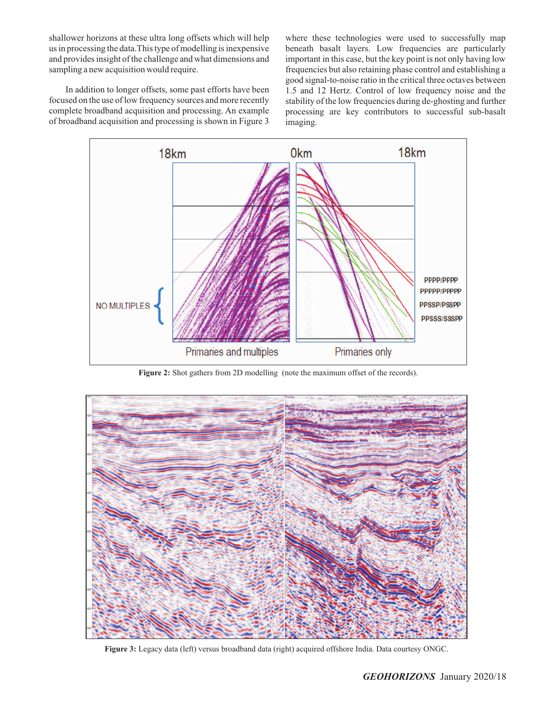shallower horizons at these ultra long offsets which will help us in processing the data.This type of modelling is inexpensive and provides insight of the challenge and what dimensions and sampling a new acquisition would require.

In addition to longer offsets, some past efforts have been focused on the use of low frequency sources and more recently complete broadband acquisition and processing. An example of broadband acquisition and processing is shown in Figure 3

where these technologies were used to successfully map beneath basalt layers. Low frequencies are particularly important in this case, but the key point is not only having low frequencies but also retaining phase control and establishing a good signal-to-noise ratio in the critical three octaves between 1.5 and 12 Hertz. Control of low frequency noise and the stability of the low frequencies during de-ghosting and further processing are key contributors to successful sub-basalt imaging.



**Figure 2:** Shot gathers from 2D modelling (note the maximum offset of the records).



**Figure 3:** Legacy data (left) versus broadband data (right) acquired offshore India. Data courtesy ONGC.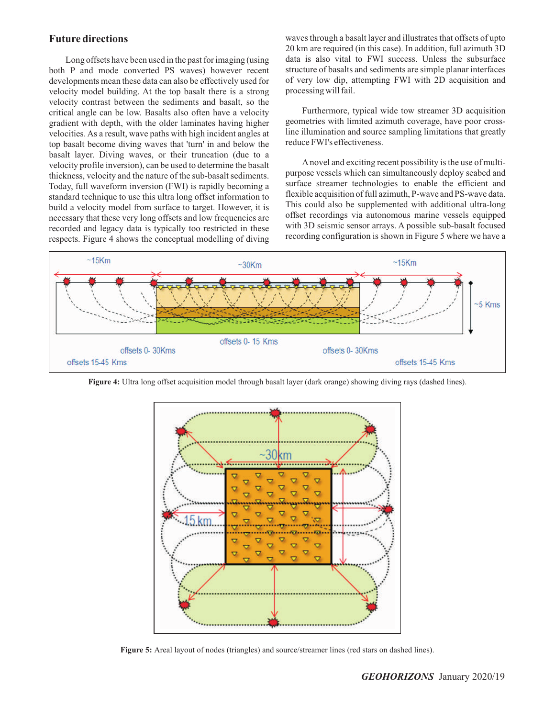## **Future directions**

Long offsets have been used in the past for imaging (using both P and mode converted PS waves) however recent developments mean these data can also be effectively used for velocity model building. At the top basalt there is a strong velocity contrast between the sediments and basalt, so the critical angle can be low. Basalts also often have a velocity gradient with depth, with the older laminates having higher velocities. As a result, wave paths with high incident angles at top basalt become diving waves that 'turn' in and below the basalt layer. Diving waves, or their truncation (due to a velocity profile inversion), can be used to determine the basalt thickness, velocity and the nature of the sub-basalt sediments. Today, full waveform inversion (FWI) is rapidly becoming a standard technique to use this ultra long offset information to build a velocity model from surface to target. However, it is necessary that these very long offsets and low frequencies are recorded and legacy data is typically too restricted in these respects. Figure 4 shows the conceptual modelling of diving

waves through a basalt layer and illustrates that offsets of upto 20 km are required (in this case). In addition, full azimuth 3D data is also vital to FWI success. Unless the subsurface structure of basalts and sediments are simple planar interfaces of very low dip, attempting FWI with 2D acquisition and processing will fail.

Furthermore, typical wide tow streamer 3D acquisition geometries with limited azimuth coverage, have poor crossline illumination and source sampling limitations that greatly reduce FWI's effectiveness.

Anovel and exciting recent possibility is the use of multipurpose vessels which can simultaneously deploy seabed and surface streamer technologies to enable the efficient and flexible acquisition of full azimuth, P-wave and PS-wave data. This could also be supplemented with additional ultra-long offset recordings via autonomous marine vessels equipped with 3D seismic sensor arrays. A possible sub-basalt focused recording configuration is shown in Figure 5 where we have a



**Figure 4:** Ultra long offset acquisition model through basalt layer (dark orange) showing diving rays (dashed lines).



**Figure 5:** Areal layout of nodes (triangles) and source/streamer lines (red stars on dashed lines).